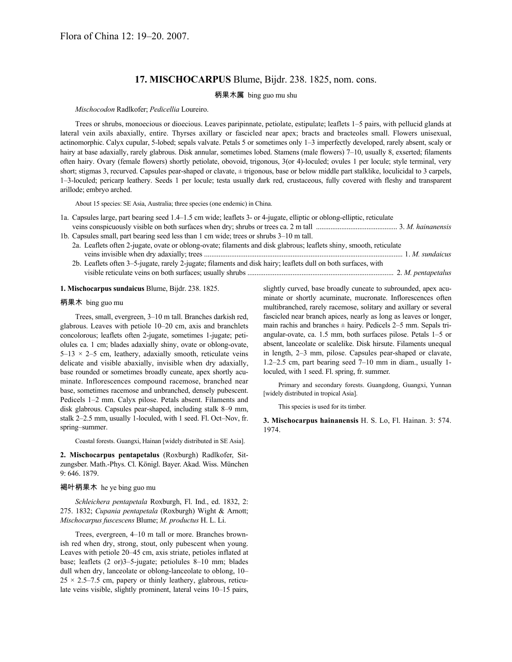# **17. MISCHOCARPUS** Blume, Bijdr. 238. 1825, nom. cons.

## 柄果木属 bing guo mu shu

*Mischocodon* Radlkofer; *Pedicellia* Loureiro.

Trees or shrubs, monoecious or dioecious. Leaves paripinnate, petiolate, estipulate; leaflets 1–5 pairs, with pellucid glands at lateral vein axils abaxially, entire. Thyrses axillary or fascicled near apex; bracts and bracteoles small. Flowers unisexual, actinomorphic. Calyx cupular, 5-lobed; sepals valvate. Petals 5 or sometimes only 1–3 imperfectly developed, rarely absent, scaly or hairy at base adaxially, rarely glabrous. Disk annular, sometimes lobed. Stamens (male flowers) 7–10, usually 8, exserted; filaments often hairy. Ovary (female flowers) shortly petiolate, obovoid, trigonous, 3(or 4)-loculed; ovules 1 per locule; style terminal, very short; stigmas 3, recurved. Capsules pear-shaped or clavate,  $\pm$  trigonous, base or below middle part stalklike, loculicidal to 3 carpels, 1–3-loculed; pericarp leathery. Seeds 1 per locule; testa usually dark red, crustaceous, fully covered with fleshy and transparent arillode; embryo arched.

About 15 species: SE Asia, Australia; three species (one endemic) in China.

- 1a. Capsules large, part bearing seed 1.4–1.5 cm wide; leaflets 3- or 4-jugate, elliptic or oblong-elliptic, reticulate
- veins conspicuously visible on both surfaces when dry; shrubs or trees ca. 2 m tall ............................................. 3. *M. hainanensis* 1b. Capsules small, part bearing seed less than 1 cm wide; trees or shrubs 3–10 m tall.
	- 2a. Leaflets often 2-jugate, ovate or oblong-ovate; filaments and disk glabrous; leaflets shiny, smooth, reticulate veins invisible when dry adaxially; trees .............................................................................................................. 1. *M. sundaicus*
	- 2b. Leaflets often 3–5-jugate, rarely 2-jugate; filaments and disk hairy; leaflets dull on both surfaces, with visible reticulate veins on both surfaces; usually shrubs ................................................................................. 2. *M. pentapetalus*

#### **1. Mischocarpus sundaicus** Blume, Bijdr. 238. 1825.

#### 柄果木 bing guo mu

Trees, small, evergreen, 3–10 m tall. Branches darkish red, glabrous. Leaves with petiole 10–20 cm, axis and branchlets concolorous; leaflets often 2-jugate, sometimes 1-jugate; petiolules ca. 1 cm; blades adaxially shiny, ovate or oblong-ovate,  $5-13 \times 2-5$  cm, leathery, adaxially smooth, reticulate veins delicate and visible abaxially, invisible when dry adaxially, base rounded or sometimes broadly cuneate, apex shortly acuminate. Inflorescences compound racemose, branched near base, sometimes racemose and unbranched, densely pubescent. Pedicels 1–2 mm. Calyx pilose. Petals absent. Filaments and disk glabrous. Capsules pear-shaped, including stalk 8–9 mm, stalk 2–2.5 mm, usually 1-loculed, with 1 seed. Fl. Oct–Nov, fr. spring–summer.

Coastal forests. Guangxi, Hainan [widely distributed in SE Asia].

**2. Mischocarpus pentapetalus** (Roxburgh) Radlkofer, Sitzungsber. Math.-Phys. Cl. Königl. Bayer. Akad. Wiss. München 9: 646. 1879.

#### 褐叶柄果木 he ye bing guo mu

*Schleichera pentapetala* Roxburgh, Fl. Ind., ed. 1832, 2: 275. 1832; *Cupania pentapetala* (Roxburgh) Wight & Arnott; *Mischocarpus fuscescens* Blume; *M. productus* H. L. Li.

Trees, evergreen, 4–10 m tall or more. Branches brownish red when dry, strong, stout, only pubescent when young. Leaves with petiole 20–45 cm, axis striate, petioles inflated at base; leaflets (2 or)3–5-jugate; petiolules 8–10 mm; blades dull when dry, lanceolate or oblong-lanceolate to oblong, 10–  $25 \times 2.5$ –7.5 cm, papery or thinly leathery, glabrous, reticulate veins visible, slightly prominent, lateral veins 10–15 pairs,

slightly curved, base broadly cuneate to subrounded, apex acuminate or shortly acuminate, mucronate. Inflorescences often multibranched, rarely racemose, solitary and axillary or several fascicled near branch apices, nearly as long as leaves or longer, main rachis and branches  $\pm$  hairy. Pedicels 2–5 mm. Sepals triangular-ovate, ca. 1.5 mm, both surfaces pilose. Petals 1–5 or absent, lanceolate or scalelike. Disk hirsute. Filaments unequal in length, 2–3 mm, pilose. Capsules pear-shaped or clavate, 1.2–2.5 cm, part bearing seed 7–10 mm in diam., usually 1 loculed, with 1 seed. Fl. spring, fr. summer.

Primary and secondary forests. Guangdong, Guangxi, Yunnan [widely distributed in tropical Asia].

This species is used for its timber.

**3. Mischocarpus hainanensis** H. S. Lo, Fl. Hainan. 3: 574. 1974.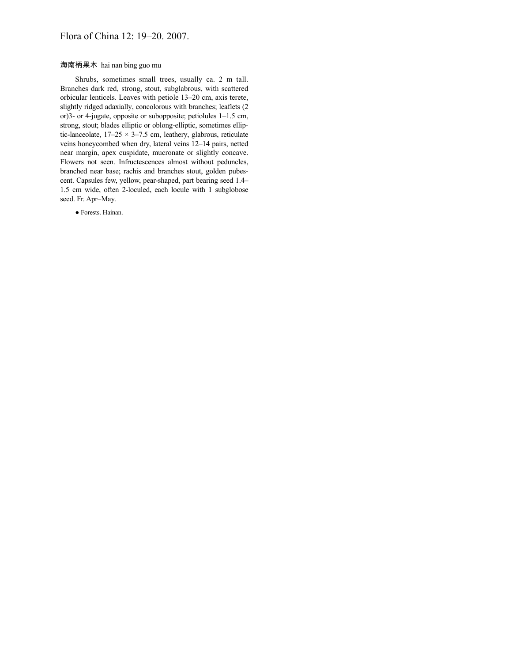## Flora of China 12: 19–20. 2007.

## 海南柄果木 hai nan bing guo mu

Shrubs, sometimes small trees, usually ca. 2 m tall. Branches dark red, strong, stout, subglabrous, with scattered orbicular lenticels. Leaves with petiole 13–20 cm, axis terete, slightly ridged adaxially, concolorous with branches; leaflets (2 or)3- or 4-jugate, opposite or subopposite; petiolules 1–1.5 cm, strong, stout; blades elliptic or oblong-elliptic, sometimes elliptic-lanceolate,  $17-25 \times 3-7.5$  cm, leathery, glabrous, reticulate veins honeycombed when dry, lateral veins 12–14 pairs, netted near margin, apex cuspidate, mucronate or slightly concave. Flowers not seen. Infructescences almost without peduncles, branched near base; rachis and branches stout, golden pubescent. Capsules few, yellow, pear-shaped, part bearing seed 1.4– 1.5 cm wide, often 2-loculed, each locule with 1 subglobose seed. Fr. Apr–May.

● Forests. Hainan.